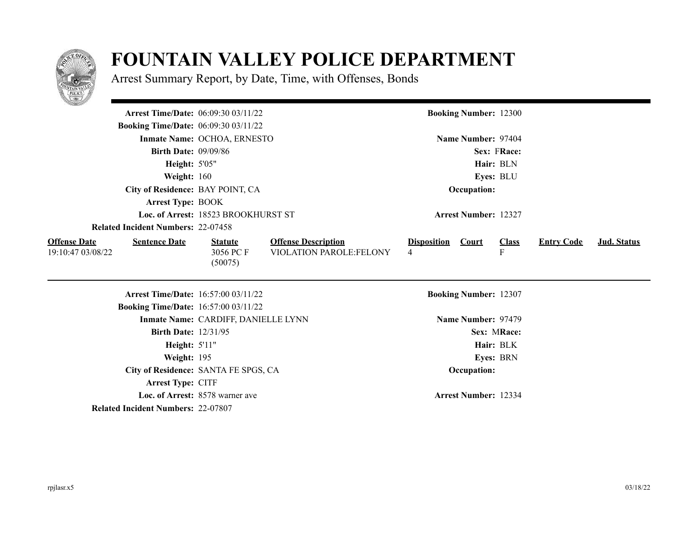

## **FOUNTAIN VALLEY POLICE DEPARTMENT**

Arrest Summary Report, by Date, Time, with Offenses, Bonds

|                                             | <b>Arrest Time/Date: 06:09:30 03/11/22</b> |                            |                    | <b>Booking Number: 12300</b> |              |                   |             |  |
|---------------------------------------------|--------------------------------------------|----------------------------|--------------------|------------------------------|--------------|-------------------|-------------|--|
| <b>Booking Time/Date: 06:09:30 03/11/22</b> |                                            |                            |                    |                              |              |                   |             |  |
|                                             | Inmate Name: OCHOA, ERNESTO                |                            |                    | Name Number: 97404           |              |                   |             |  |
| <b>Birth Date: 09/09/86</b>                 |                                            |                            |                    |                              | Sex: FRace:  |                   |             |  |
| <b>Height: 5'05"</b>                        |                                            |                            |                    |                              | Hair: BLN    |                   |             |  |
| Weight: 160                                 |                                            |                            |                    |                              | Eyes: BLU    |                   |             |  |
| City of Residence: BAY POINT, CA            |                                            |                            | Occupation:        |                              |              |                   |             |  |
| <b>Arrest Type: BOOK</b>                    |                                            |                            |                    |                              |              |                   |             |  |
|                                             | Loc. of Arrest: 18523 BROOKHURST ST        |                            |                    | <b>Arrest Number: 12327</b>  |              |                   |             |  |
| <b>Related Incident Numbers: 22-07458</b>   |                                            |                            |                    |                              |              |                   |             |  |
| <b>Offense Date</b><br><b>Sentence Date</b> | <b>Statute</b>                             | <b>Offense Description</b> | <b>Disposition</b> | <b>Court</b>                 | <b>Class</b> | <b>Entry Code</b> | Jud. Status |  |
| 19:10:47 03/08/22                           | 3056 PC F<br>(50075)                       | VIOLATION PAROLE:FELONY    | 4                  |                              | ${\bf F}$    |                   |             |  |
|                                             | <b>Arrest Time/Date: 16:57:00 03/11/22</b> |                            |                    | <b>Booking Number: 12307</b> |              |                   |             |  |
| <b>Booking Time/Date:</b> 16:57:00 03/11/22 |                                            |                            |                    |                              |              |                   |             |  |
|                                             | Inmate Name: CARDIFF, DANIELLE LYNN        |                            |                    | Name Number: 97479           |              |                   |             |  |
| <b>Birth Date: 12/31/95</b>                 |                                            |                            |                    |                              | Sex: MRace:  |                   |             |  |
| <b>Height: 5'11"</b>                        |                                            |                            |                    |                              | Hair: BLK    |                   |             |  |
| Weight: 195                                 |                                            |                            |                    |                              | Eyes: BRN    |                   |             |  |
|                                             | City of Residence: SANTA FE SPGS, CA       |                            |                    | Occupation:                  |              |                   |             |  |
| Arrest Type: CITF                           |                                            |                            |                    |                              |              |                   |             |  |
|                                             | Loc. of Arrest: 8578 warner ave            |                            |                    | <b>Arrest Number: 12334</b>  |              |                   |             |  |
| <b>Related Incident Numbers: 22-07807</b>   |                                            |                            |                    |                              |              |                   |             |  |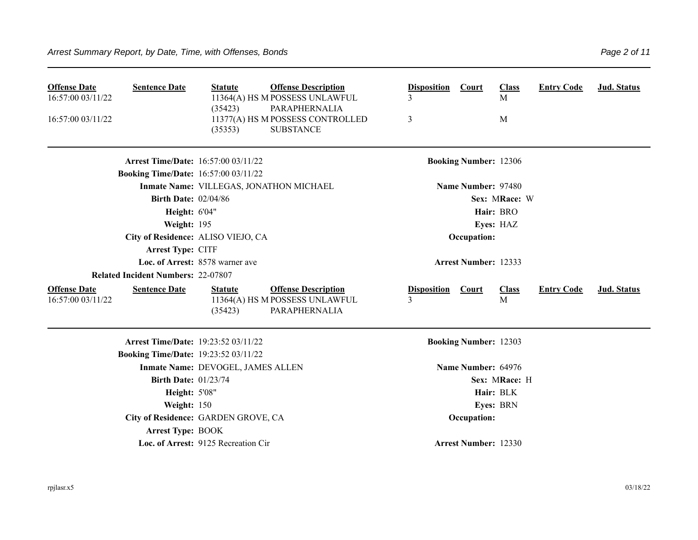| <b>Offense Date</b><br>16:57:00 03/11/22 | <b>Sentence Date</b>                        | <b>Statute</b><br>(35423)           | <b>Offense Description</b><br>11364(A) HS M POSSESS UNLAWFUL<br>PARAPHERNALIA | <b>Disposition</b><br>3 | <b>Court</b>                 | <b>Class</b><br>M | <b>Entry Code</b> | Jud. Status |  |  |
|------------------------------------------|---------------------------------------------|-------------------------------------|-------------------------------------------------------------------------------|-------------------------|------------------------------|-------------------|-------------------|-------------|--|--|
| 16:57:00 03/11/22                        |                                             | (35353)                             | 11377(A) HS M POSSESS CONTROLLED<br><b>SUBSTANCE</b>                          | 3                       |                              | M                 |                   |             |  |  |
|                                          | <b>Arrest Time/Date: 16:57:00 03/11/22</b>  |                                     |                                                                               |                         | <b>Booking Number: 12306</b> |                   |                   |             |  |  |
|                                          | <b>Booking Time/Date: 16:57:00 03/11/22</b> |                                     |                                                                               |                         |                              |                   |                   |             |  |  |
|                                          |                                             |                                     | Inmate Name: VILLEGAS, JONATHON MICHAEL                                       |                         | Name Number: 97480           |                   |                   |             |  |  |
|                                          | <b>Birth Date: 02/04/86</b>                 |                                     |                                                                               |                         |                              | Sex: MRace: W     |                   |             |  |  |
|                                          | Height: 6'04"                               |                                     |                                                                               |                         |                              | Hair: BRO         |                   |             |  |  |
|                                          | Weight: 195                                 |                                     |                                                                               | Eyes: HAZ               |                              |                   |                   |             |  |  |
|                                          | City of Residence: ALISO VIEJO, CA          |                                     |                                                                               |                         | Occupation:                  |                   |                   |             |  |  |
|                                          | Arrest Type: CITF                           |                                     |                                                                               |                         |                              |                   |                   |             |  |  |
| Loc. of Arrest: 8578 warner ave          |                                             |                                     |                                                                               |                         | <b>Arrest Number: 12333</b>  |                   |                   |             |  |  |
|                                          | <b>Related Incident Numbers: 22-07807</b>   |                                     |                                                                               |                         |                              |                   |                   |             |  |  |
| <b>Offense Date</b><br>16:57:00 03/11/22 | <b>Sentence Date</b>                        | <b>Statute</b><br>(35423)           | <b>Offense Description</b><br>11364(A) HS M POSSESS UNLAWFUL<br>PARAPHERNALIA | <b>Disposition</b><br>3 | <b>Court</b>                 | <b>Class</b><br>M | <b>Entry Code</b> | Jud. Status |  |  |
|                                          | <b>Arrest Time/Date: 19:23:52 03/11/22</b>  |                                     |                                                                               |                         | <b>Booking Number: 12303</b> |                   |                   |             |  |  |
|                                          | <b>Booking Time/Date: 19:23:52 03/11/22</b> |                                     |                                                                               |                         |                              |                   |                   |             |  |  |
|                                          |                                             | Inmate Name: DEVOGEL, JAMES ALLEN   |                                                                               |                         | Name Number: 64976           |                   |                   |             |  |  |
|                                          | <b>Birth Date: 01/23/74</b>                 |                                     |                                                                               |                         |                              | Sex: MRace: H     |                   |             |  |  |
|                                          | <b>Height: 5'08"</b>                        |                                     |                                                                               | Hair: BLK               |                              |                   |                   |             |  |  |
|                                          | Weight: 150                                 |                                     |                                                                               |                         |                              | Eyes: BRN         |                   |             |  |  |
|                                          | City of Residence: GARDEN GROVE, CA         |                                     |                                                                               |                         | Occupation:                  |                   |                   |             |  |  |
|                                          | <b>Arrest Type: BOOK</b>                    |                                     |                                                                               |                         |                              |                   |                   |             |  |  |
|                                          |                                             | Loc. of Arrest: 9125 Recreation Cir |                                                                               |                         | <b>Arrest Number: 12330</b>  |                   |                   |             |  |  |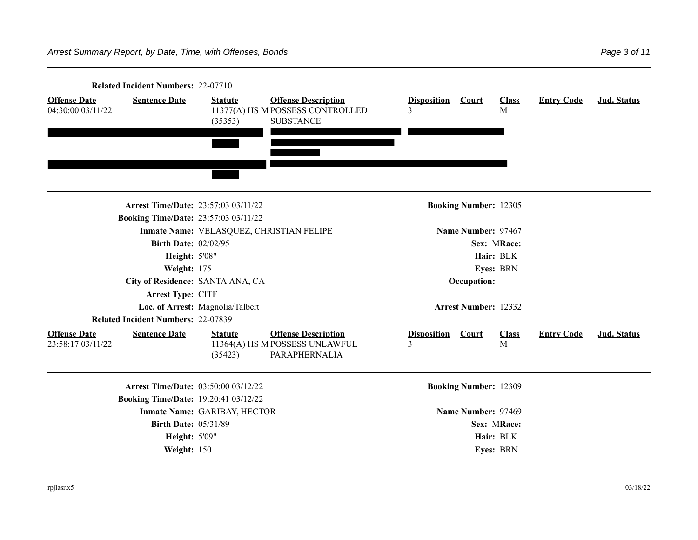|                                          | Related Incident Numbers: 22-07710          |                                          |                                                                                    |                         |                              |                   |                   |             |  |
|------------------------------------------|---------------------------------------------|------------------------------------------|------------------------------------------------------------------------------------|-------------------------|------------------------------|-------------------|-------------------|-------------|--|
| <b>Offense Date</b><br>04:30:00 03/11/22 | <b>Sentence Date</b>                        | <b>Statute</b><br>(35353)                | <b>Offense Description</b><br>11377(A) HS M POSSESS CONTROLLED<br><b>SUBSTANCE</b> | <b>Disposition</b><br>3 | Court                        | <b>Class</b><br>M | <b>Entry Code</b> | Jud. Status |  |
|                                          | <b>Arrest Time/Date: 23:57:03 03/11/22</b>  |                                          |                                                                                    |                         | <b>Booking Number: 12305</b> |                   |                   |             |  |
|                                          | <b>Booking Time/Date: 23:57:03 03/11/22</b> |                                          |                                                                                    |                         |                              |                   |                   |             |  |
|                                          |                                             | Inmate Name: VELASQUEZ, CHRISTIAN FELIPE |                                                                                    |                         | Name Number: 97467           |                   |                   |             |  |
|                                          | <b>Birth Date: 02/02/95</b>                 |                                          |                                                                                    | Sex: MRace:             |                              |                   |                   |             |  |
|                                          | <b>Height: 5'08"</b>                        |                                          |                                                                                    | Hair: BLK               |                              |                   |                   |             |  |
|                                          | Weight: 175                                 |                                          |                                                                                    |                         |                              | Eyes: BRN         |                   |             |  |
|                                          | City of Residence: SANTA ANA, CA            |                                          |                                                                                    |                         | Occupation:                  |                   |                   |             |  |
|                                          | Arrest Type: CITF                           |                                          |                                                                                    |                         |                              |                   |                   |             |  |
|                                          |                                             | Loc. of Arrest: Magnolia/Talbert         |                                                                                    |                         | <b>Arrest Number: 12332</b>  |                   |                   |             |  |
|                                          | <b>Related Incident Numbers: 22-07839</b>   |                                          |                                                                                    |                         |                              |                   |                   |             |  |
| <b>Offense Date</b><br>23:58:17 03/11/22 | <b>Sentence Date</b>                        | <b>Statute</b><br>(35423)                | <b>Offense Description</b><br>11364(A) HS M POSSESS UNLAWFUL<br>PARAPHERNALIA      | <b>Disposition</b><br>3 | Court                        | <b>Class</b><br>M | <b>Entry Code</b> | Jud. Status |  |
|                                          | <b>Arrest Time/Date: 03:50:00 03/12/22</b>  |                                          |                                                                                    |                         | <b>Booking Number: 12309</b> |                   |                   |             |  |
|                                          | <b>Booking Time/Date: 19:20:41 03/12/22</b> |                                          |                                                                                    |                         |                              |                   |                   |             |  |
|                                          |                                             | Inmate Name: GARIBAY, HECTOR             |                                                                                    |                         | Name Number: 97469           |                   |                   |             |  |
|                                          | <b>Birth Date: 05/31/89</b>                 |                                          |                                                                                    |                         |                              | Sex: MRace:       |                   |             |  |
|                                          | Height: 5'09"                               |                                          |                                                                                    |                         |                              | Hair: BLK         |                   |             |  |
|                                          | Weight: 150                                 |                                          |                                                                                    |                         |                              | Eyes: BRN         |                   |             |  |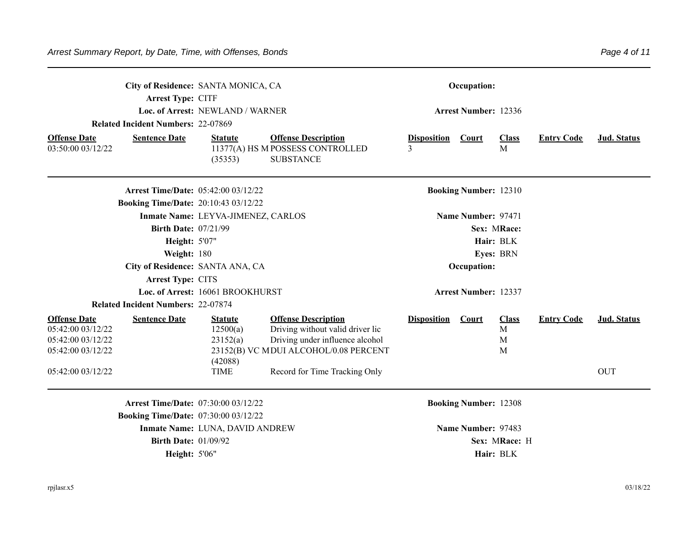|                                                                                                         | City of Residence: SANTA MONICA, CA<br>Arrest Type: CITF<br><b>Related Incident Numbers: 22-07869</b>                                            | Loc. of Arrest: NEWLAND / WARNER                                 |                                                                                                                                                                             |                         | Occupation:<br><b>Arrest Number: 12336</b>         |                                       |                   |                                  |
|---------------------------------------------------------------------------------------------------------|--------------------------------------------------------------------------------------------------------------------------------------------------|------------------------------------------------------------------|-----------------------------------------------------------------------------------------------------------------------------------------------------------------------------|-------------------------|----------------------------------------------------|---------------------------------------|-------------------|----------------------------------|
| <b>Offense Date</b><br>03:50:00 03/12/22                                                                | <b>Sentence Date</b>                                                                                                                             | <b>Statute</b><br>(35353)                                        | <b>Offense Description</b><br>11377(A) HS M POSSESS CONTROLLED<br><b>SUBSTANCE</b>                                                                                          | <b>Disposition</b><br>3 | Court                                              | <b>Class</b><br>M                     | <b>Entry Code</b> | Jud. Status                      |
|                                                                                                         | <b>Arrest Time/Date: 05:42:00 03/12/22</b><br><b>Booking Time/Date: 20:10:43 03/12/22</b>                                                        |                                                                  |                                                                                                                                                                             |                         | <b>Booking Number: 12310</b>                       |                                       |                   |                                  |
|                                                                                                         | <b>Birth Date: 07/21/99</b><br><b>Height: 5'07"</b><br>Weight: 180<br>City of Residence: SANTA ANA, CA                                           | Inmate Name: LEYVA-JIMENEZ, CARLOS                               |                                                                                                                                                                             |                         | Name Number: 97471<br>Occupation:                  | Sex: MRace:<br>Hair: BLK<br>Eyes: BRN |                   |                                  |
|                                                                                                         | Arrest Type: CITS<br><b>Related Incident Numbers: 22-07874</b>                                                                                   | Loc. of Arrest: 16061 BROOKHURST                                 |                                                                                                                                                                             |                         | <b>Arrest Number: 12337</b>                        |                                       |                   |                                  |
| <b>Offense Date</b><br>05:42:00 03/12/22<br>05:42:00 03/12/22<br>05:42:00 03/12/22<br>05:42:00 03/12/22 | <b>Sentence Date</b>                                                                                                                             | <b>Statute</b><br>12500(a)<br>23152(a)<br>(42088)<br><b>TIME</b> | <b>Offense Description</b><br>Driving without valid driver lic<br>Driving under influence alcohol<br>23152(B) VC MDUI ALCOHOL/0.08 PERCENT<br>Record for Time Tracking Only | <b>Disposition</b>      | Court                                              | <b>Class</b><br>M<br>M<br>M           | <b>Entry Code</b> | <b>Jud. Status</b><br><b>OUT</b> |
|                                                                                                         | <b>Arrest Time/Date: 07:30:00 03/12/22</b><br><b>Booking Time/Date: 07:30:00 03/12/22</b><br><b>Birth Date: 01/09/92</b><br><b>Height: 5'06"</b> | Inmate Name: LUNA, DAVID ANDREW                                  |                                                                                                                                                                             |                         | <b>Booking Number: 12308</b><br>Name Number: 97483 | Sex: MRace: H<br>Hair: BLK            |                   |                                  |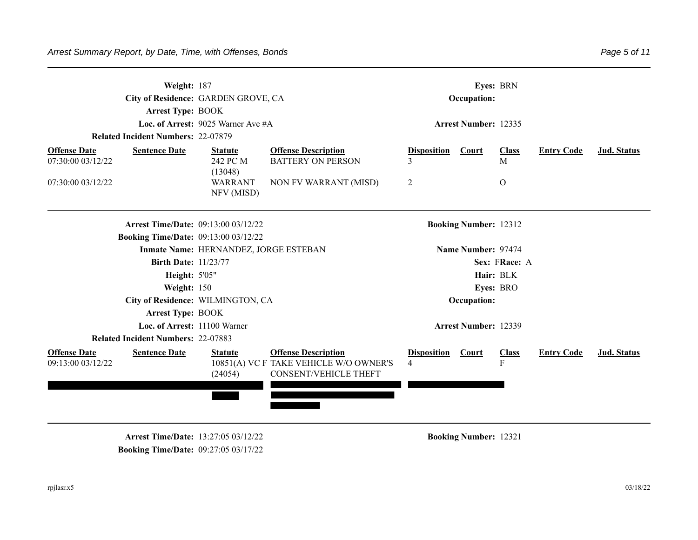|                                          | Weight: 187<br>City of Residence: GARDEN GROVE, CA<br><b>Arrest Type: BOOK</b><br>Loc. of Arrest: $9025$ Warner Ave #A<br><b>Related Incident Numbers: 22-07879</b> |                                       |                                                                                                      | Eyes: BRN<br>Occupation:<br><b>Arrest Number: 12335</b> |                              |                   |                   |                    |
|------------------------------------------|---------------------------------------------------------------------------------------------------------------------------------------------------------------------|---------------------------------------|------------------------------------------------------------------------------------------------------|---------------------------------------------------------|------------------------------|-------------------|-------------------|--------------------|
| <b>Offense Date</b><br>07:30:00 03/12/22 | <b>Sentence Date</b>                                                                                                                                                | <b>Statute</b><br>242 PC M<br>(13048) | <b>Offense Description</b><br><b>BATTERY ON PERSON</b>                                               | <b>Disposition</b><br>3                                 | Court                        | <b>Class</b><br>M | <b>Entry Code</b> | Jud. Status        |
| 07:30:00 03/12/22                        |                                                                                                                                                                     | WARRANT<br>NFV (MISD)                 | NON FV WARRANT (MISD)                                                                                | $\overline{2}$                                          |                              | $\Omega$          |                   |                    |
|                                          | <b>Arrest Time/Date: 09:13:00 03/12/22</b>                                                                                                                          |                                       |                                                                                                      |                                                         | <b>Booking Number: 12312</b> |                   |                   |                    |
|                                          | <b>Booking Time/Date: 09:13:00 03/12/22</b>                                                                                                                         |                                       |                                                                                                      |                                                         |                              |                   |                   |                    |
|                                          |                                                                                                                                                                     | Inmate Name: HERNANDEZ, JORGE ESTEBAN |                                                                                                      | Name Number: 97474                                      |                              |                   |                   |                    |
|                                          | <b>Birth Date: 11/23/77</b>                                                                                                                                         |                                       |                                                                                                      |                                                         |                              | Sex: FRace: A     |                   |                    |
|                                          | <b>Height: 5'05"</b>                                                                                                                                                |                                       |                                                                                                      |                                                         |                              | Hair: BLK         |                   |                    |
|                                          | Weight: 150                                                                                                                                                         |                                       |                                                                                                      |                                                         |                              | Eyes: BRO         |                   |                    |
|                                          | City of Residence: WILMINGTON, CA                                                                                                                                   |                                       |                                                                                                      |                                                         | Occupation:                  |                   |                   |                    |
|                                          | <b>Arrest Type: BOOK</b>                                                                                                                                            |                                       |                                                                                                      |                                                         |                              |                   |                   |                    |
|                                          | Loc. of Arrest: 11100 Warner                                                                                                                                        |                                       |                                                                                                      |                                                         | <b>Arrest Number: 12339</b>  |                   |                   |                    |
|                                          | <b>Related Incident Numbers: 22-07883</b>                                                                                                                           |                                       |                                                                                                      |                                                         |                              |                   |                   |                    |
| <b>Offense Date</b><br>09:13:00 03/12/22 | <b>Sentence Date</b>                                                                                                                                                | <b>Statute</b><br>(24054)             | <b>Offense Description</b><br>10851(A) VC F TAKE VEHICLE W/O OWNER'S<br><b>CONSENT/VEHICLE THEFT</b> | <b>Disposition</b><br>$\overline{4}$                    | Court                        | <b>Class</b><br>F | <b>Entry Code</b> | <b>Jud.</b> Status |

**Arrest Time/Date:** 13:27:05 03/12/22 **Booking Number:** 12321 **Booking Time/Date:** 09:27:05 03/17/22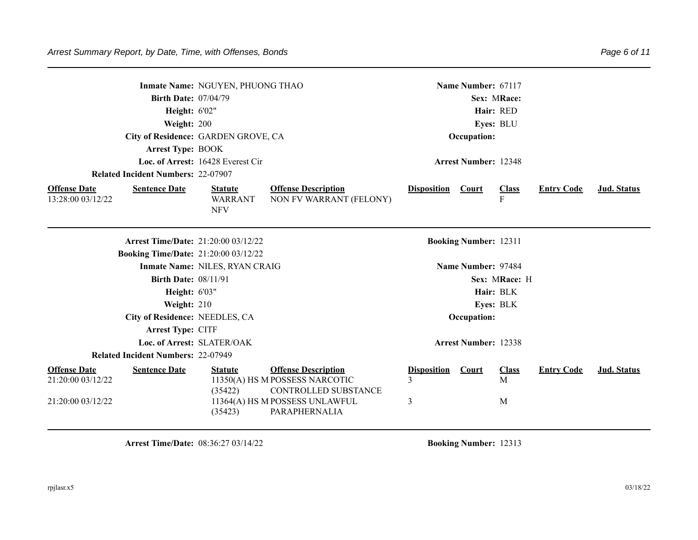|                                                               |                                             | Inmate Name: NGUYEN, PHUONG THAO               |                                                                                                                                         |                              | Name Number: 67117           |                        |                   |             |
|---------------------------------------------------------------|---------------------------------------------|------------------------------------------------|-----------------------------------------------------------------------------------------------------------------------------------------|------------------------------|------------------------------|------------------------|-------------------|-------------|
|                                                               | <b>Birth Date: 07/04/79</b>                 |                                                |                                                                                                                                         |                              |                              | Sex: MRace:            |                   |             |
|                                                               | Height: 6'02"                               |                                                |                                                                                                                                         |                              |                              | Hair: RED              |                   |             |
|                                                               | Weight: 200                                 |                                                |                                                                                                                                         |                              |                              | Eyes: BLU              |                   |             |
|                                                               | City of Residence: GARDEN GROVE, CA         |                                                |                                                                                                                                         |                              | Occupation:                  |                        |                   |             |
|                                                               | <b>Arrest Type: BOOK</b>                    |                                                |                                                                                                                                         |                              |                              |                        |                   |             |
|                                                               |                                             | Loc. of Arrest: 16428 Everest Cir              |                                                                                                                                         |                              | <b>Arrest Number: 12348</b>  |                        |                   |             |
|                                                               | <b>Related Incident Numbers: 22-07907</b>   |                                                |                                                                                                                                         |                              |                              |                        |                   |             |
| <b>Offense Date</b><br>13:28:00 03/12/22                      | <b>Sentence Date</b>                        | <b>Statute</b><br><b>WARRANT</b><br><b>NFV</b> | <b>Offense Description</b><br>NON FV WARRANT (FELONY)                                                                                   | <b>Disposition Court</b>     |                              | <b>Class</b><br>F      | <b>Entry Code</b> | Jud. Status |
|                                                               | Arrest Time/Date: 21:20:00 03/12/22         |                                                |                                                                                                                                         |                              | <b>Booking Number: 12311</b> |                        |                   |             |
|                                                               | <b>Booking Time/Date: 21:20:00 03/12/22</b> |                                                |                                                                                                                                         |                              |                              |                        |                   |             |
|                                                               |                                             | Inmate Name: NILES, RYAN CRAIG                 |                                                                                                                                         |                              | Name Number: 97484           |                        |                   |             |
|                                                               | <b>Birth Date: 08/11/91</b>                 |                                                |                                                                                                                                         |                              |                              | Sex: MRace: H          |                   |             |
|                                                               | Height: 6'03"                               |                                                |                                                                                                                                         |                              |                              | Hair: BLK              |                   |             |
|                                                               | Weight: 210                                 |                                                |                                                                                                                                         |                              |                              | Eyes: BLK              |                   |             |
|                                                               | City of Residence: NEEDLES, CA              |                                                |                                                                                                                                         |                              | Occupation:                  |                        |                   |             |
|                                                               | Arrest Type: CITF                           |                                                |                                                                                                                                         |                              |                              |                        |                   |             |
|                                                               | Loc. of Arrest: SLATER/OAK                  |                                                |                                                                                                                                         |                              | <b>Arrest Number: 12338</b>  |                        |                   |             |
|                                                               | Related Incident Numbers: 22-07949          |                                                |                                                                                                                                         |                              |                              |                        |                   |             |
| <b>Offense Date</b><br>21:20:00 03/12/22<br>21:20:00 03/12/22 | <b>Sentence Date</b>                        | <b>Statute</b><br>(35422)<br>(35423)           | <b>Offense Description</b><br>11350(A) HS M POSSESS NARCOTIC<br>CONTROLLED SUBSTANCE<br>11364(A) HS M POSSESS UNLAWFUL<br>PARAPHERNALIA | <b>Disposition</b><br>3<br>3 | Court                        | <b>Class</b><br>M<br>M | <b>Entry Code</b> | Jud. Status |

**Arrest Time/Date:** 08:36:27 03/14/22 **Booking Number:** 12313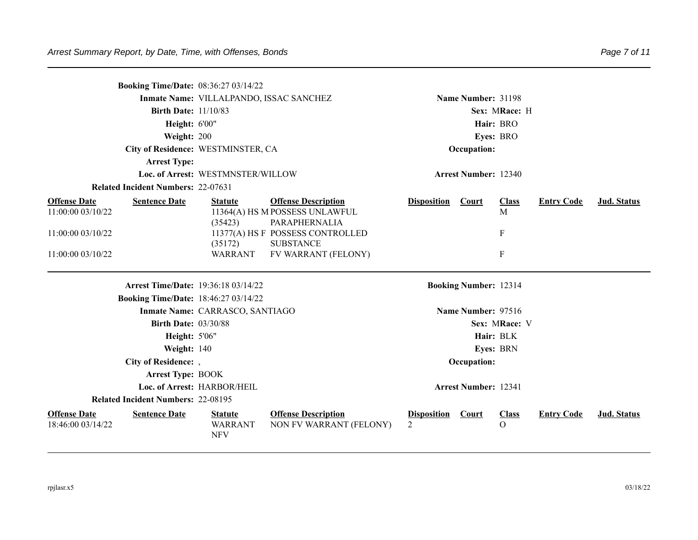| <b>Booking Time/Date: 08:36:27 03/14/22</b>                      |                                                |                                                                               |                                      |                              |                           |                   |                    |  |
|------------------------------------------------------------------|------------------------------------------------|-------------------------------------------------------------------------------|--------------------------------------|------------------------------|---------------------------|-------------------|--------------------|--|
|                                                                  | Inmate Name: VILLALPANDO, ISSAC SANCHEZ        |                                                                               |                                      | Name Number: 31198           |                           |                   |                    |  |
| <b>Birth Date: 11/10/83</b>                                      |                                                |                                                                               |                                      |                              | Sex: MRace: H             |                   |                    |  |
| Height: 6'00"                                                    |                                                |                                                                               |                                      |                              | Hair: BRO                 |                   |                    |  |
| Weight: 200                                                      |                                                |                                                                               |                                      |                              | Eyes: BRO                 |                   |                    |  |
|                                                                  | City of Residence: WESTMINSTER, CA             |                                                                               |                                      | Occupation:                  |                           |                   |                    |  |
| <b>Arrest Type:</b>                                              |                                                |                                                                               |                                      |                              |                           |                   |                    |  |
|                                                                  | Loc. of Arrest: WESTMNSTER/WILLOW              |                                                                               |                                      | <b>Arrest Number: 12340</b>  |                           |                   |                    |  |
| <b>Related Incident Numbers: 22-07631</b>                        |                                                |                                                                               |                                      |                              |                           |                   |                    |  |
| <b>Offense Date</b><br><b>Sentence Date</b><br>11:00:00 03/10/22 | <b>Statute</b><br>(35423)                      | <b>Offense Description</b><br>11364(A) HS M POSSESS UNLAWFUL<br>PARAPHERNALIA | <b>Disposition</b>                   | <b>Court</b>                 | <b>Class</b><br>M         | <b>Entry Code</b> | <b>Jud.</b> Status |  |
| 11:00:00 03/10/22                                                |                                                | 11377(A) HS F POSSESS CONTROLLED<br><b>SUBSTANCE</b>                          |                                      |                              | ${\bf F}$                 |                   |                    |  |
| 11:00:00 03/10/22                                                | (35172)<br><b>WARRANT</b>                      | FV WARRANT (FELONY)                                                           |                                      |                              | $\boldsymbol{\mathrm{F}}$ |                   |                    |  |
|                                                                  | <b>Arrest Time/Date: 19:36:18 03/14/22</b>     |                                                                               |                                      | <b>Booking Number: 12314</b> |                           |                   |                    |  |
| <b>Booking Time/Date: 18:46:27 03/14/22</b>                      |                                                |                                                                               |                                      |                              |                           |                   |                    |  |
|                                                                  | Inmate Name: CARRASCO, SANTIAGO                |                                                                               |                                      | Name Number: 97516           |                           |                   |                    |  |
| <b>Birth Date: 03/30/88</b>                                      |                                                |                                                                               |                                      |                              | Sex: MRace: V             |                   |                    |  |
| Height: 5'06"                                                    |                                                |                                                                               |                                      |                              | Hair: BLK                 |                   |                    |  |
| Weight: 140                                                      |                                                |                                                                               |                                      |                              | Eyes: BRN                 |                   |                    |  |
| City of Residence: ,                                             |                                                |                                                                               |                                      | Occupation:                  |                           |                   |                    |  |
| <b>Arrest Type: BOOK</b>                                         |                                                |                                                                               |                                      |                              |                           |                   |                    |  |
|                                                                  | Loc. of Arrest: HARBOR/HEIL                    |                                                                               |                                      | <b>Arrest Number: 12341</b>  |                           |                   |                    |  |
| <b>Related Incident Numbers: 22-08195</b>                        |                                                |                                                                               |                                      |                              |                           |                   |                    |  |
| <b>Offense Date</b><br><b>Sentence Date</b><br>18:46:00 03/14/22 | <b>Statute</b><br><b>WARRANT</b><br><b>NFV</b> | <b>Offense Description</b><br>NON FV WARRANT (FELONY)                         | <b>Disposition</b><br>$\mathfrak{D}$ | <b>Court</b>                 | <b>Class</b><br>$\Omega$  | <b>Entry Code</b> | Jud. Status        |  |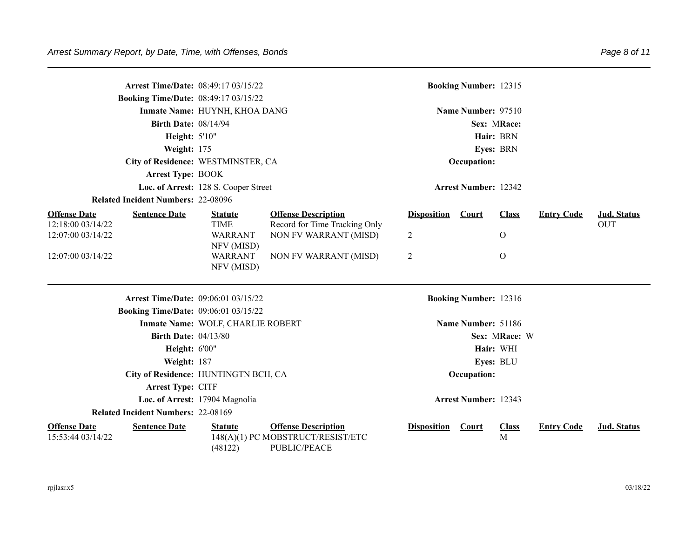| <b>Booking Time/Date: 08:49:17 03/15/22</b>                      | <b>Arrest Time/Date: 08:49:17 03/15/22</b>  |                                                                                 |                    | <b>Booking Number: 12315</b> |                   |                   |             |
|------------------------------------------------------------------|---------------------------------------------|---------------------------------------------------------------------------------|--------------------|------------------------------|-------------------|-------------------|-------------|
|                                                                  | Inmate Name: HUYNH, KHOA DANG               |                                                                                 |                    | Name Number: 97510           |                   |                   |             |
| <b>Birth Date: 08/14/94</b>                                      |                                             |                                                                                 |                    |                              | Sex: MRace:       |                   |             |
| Height: 5'10"                                                    |                                             |                                                                                 |                    |                              | Hair: BRN         |                   |             |
| Weight: 175                                                      |                                             |                                                                                 |                    |                              | Eyes: BRN         |                   |             |
|                                                                  | City of Residence: WESTMINSTER, CA          |                                                                                 | Occupation:        |                              |                   |                   |             |
| <b>Arrest Type: BOOK</b>                                         |                                             |                                                                                 |                    |                              |                   |                   |             |
|                                                                  | Loc. of Arrest: 128 S. Cooper Street        |                                                                                 |                    | <b>Arrest Number: 12342</b>  |                   |                   |             |
| <b>Related Incident Numbers: 22-08096</b>                        |                                             |                                                                                 |                    |                              |                   |                   |             |
| <b>Offense Date</b><br><b>Sentence Date</b>                      | <b>Statute</b>                              | <b>Offense Description</b>                                                      | <b>Disposition</b> | Court                        | <b>Class</b>      | <b>Entry Code</b> | Jud. Status |
| 12:18:00 03/14/22<br>12:07:00 03/14/22                           | <b>TIME</b><br><b>WARRANT</b><br>NFV (MISD) | Record for Time Tracking Only<br>NON FV WARRANT (MISD)                          | 2                  |                              | $\Omega$          |                   | <b>OUT</b>  |
| 12:07:00 03/14/22                                                | WARRANT<br>NFV (MISD)                       | NON FV WARRANT (MISD)                                                           | 2                  |                              | $\overline{O}$    |                   |             |
|                                                                  | Arrest Time/Date: 09:06:01 03/15/22         |                                                                                 |                    | <b>Booking Number: 12316</b> |                   |                   |             |
| <b>Booking Time/Date: 09:06:01 03/15/22</b>                      |                                             |                                                                                 |                    |                              |                   |                   |             |
|                                                                  | Inmate Name: WOLF, CHARLIE ROBERT           |                                                                                 |                    | Name Number: 51186           |                   |                   |             |
| <b>Birth Date: 04/13/80</b>                                      |                                             |                                                                                 |                    |                              | Sex: MRace: W     |                   |             |
| Height: 6'00"                                                    |                                             |                                                                                 |                    |                              | Hair: WHI         |                   |             |
| Weight: 187                                                      |                                             |                                                                                 |                    |                              | Eyes: BLU         |                   |             |
|                                                                  | City of Residence: HUNTINGTN BCH, CA        |                                                                                 |                    | Occupation:                  |                   |                   |             |
| Arrest Type: CITF                                                |                                             |                                                                                 |                    |                              |                   |                   |             |
|                                                                  | Loc. of Arrest: 17904 Magnolia              |                                                                                 |                    | <b>Arrest Number: 12343</b>  |                   |                   |             |
| <b>Related Incident Numbers: 22-08169</b>                        |                                             |                                                                                 |                    |                              |                   |                   |             |
| <b>Offense Date</b><br><b>Sentence Date</b><br>15:53:44 03/14/22 | <b>Statute</b><br>(48122)                   | <b>Offense Description</b><br>148(A)(1) PC MOBSTRUCT/RESIST/ETC<br>PUBLIC/PEACE | <b>Disposition</b> | <b>Court</b>                 | <b>Class</b><br>M | <b>Entry Code</b> | Jud. Status |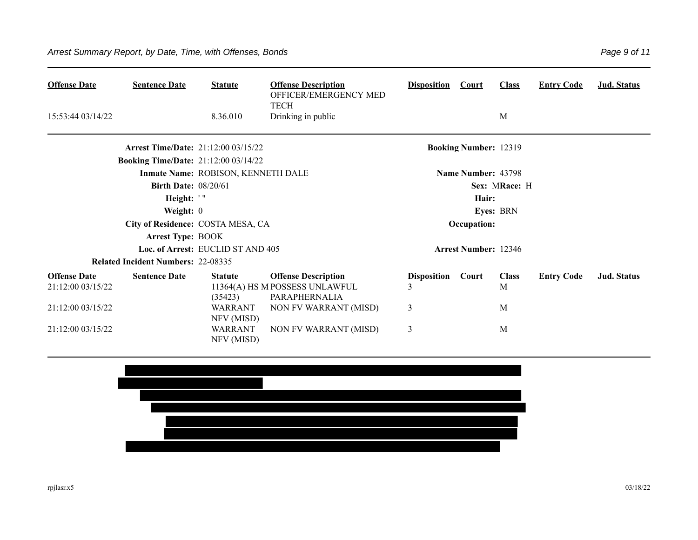| <b>Offense Date</b>                      | <b>Sentence Date</b>                                                                      | <b>Statute</b>                                 | <b>Offense Description</b><br>OFFICER/EMERGENCY MED                           | <b>Disposition</b>      | Court                        | <b>Class</b>      | <b>Entry Code</b> | Jud. Status |
|------------------------------------------|-------------------------------------------------------------------------------------------|------------------------------------------------|-------------------------------------------------------------------------------|-------------------------|------------------------------|-------------------|-------------------|-------------|
| 15:53:44 03/14/22                        |                                                                                           | 8.36.010                                       | <b>TECH</b><br>Drinking in public                                             |                         |                              | M                 |                   |             |
|                                          | <b>Arrest Time/Date: 21:12:00 03/15/22</b><br><b>Booking Time/Date: 21:12:00 03/14/22</b> |                                                |                                                                               |                         | <b>Booking Number: 12319</b> |                   |                   |             |
|                                          |                                                                                           | Inmate Name: ROBISON, KENNETH DALE             |                                                                               |                         | Name Number: 43798           |                   |                   |             |
|                                          | <b>Birth Date: 08/20/61</b><br>Height: '"                                                 |                                                |                                                                               |                         | Hair:                        | Sex: MRace: H     |                   |             |
|                                          | Weight: $0$<br>City of Residence: COSTA MESA, CA                                          |                                                |                                                                               |                         | Occupation:                  | <b>Eyes: BRN</b>  |                   |             |
|                                          | <b>Arrest Type: BOOK</b>                                                                  | Loc. of Arrest: EUCLID ST AND 405              |                                                                               |                         | <b>Arrest Number: 12346</b>  |                   |                   |             |
|                                          | <b>Related Incident Numbers: 22-08335</b>                                                 |                                                |                                                                               |                         |                              |                   |                   |             |
| <b>Offense Date</b><br>21:12:00 03/15/22 | <b>Sentence Date</b>                                                                      | <b>Statute</b><br>(35423)                      | <b>Offense Description</b><br>11364(A) HS M POSSESS UNLAWFUL<br>PARAPHERNALIA | <b>Disposition</b><br>3 | <b>Court</b>                 | <b>Class</b><br>M | <b>Entry Code</b> | Jud. Status |
| 21:12:00 03/15/22<br>21:12:00 03/15/22   |                                                                                           | <b>WARRANT</b><br>NFV (MISD)<br><b>WARRANT</b> | NON FV WARRANT (MISD)<br><b>NON FV WARRANT (MISD)</b>                         | 3<br>3                  |                              | M<br>M            |                   |             |
|                                          |                                                                                           | NFV (MISD)                                     |                                                                               |                         |                              |                   |                   |             |

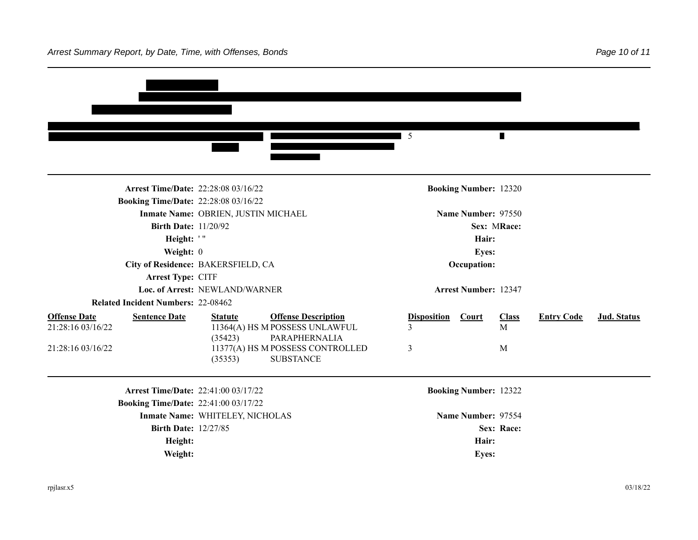